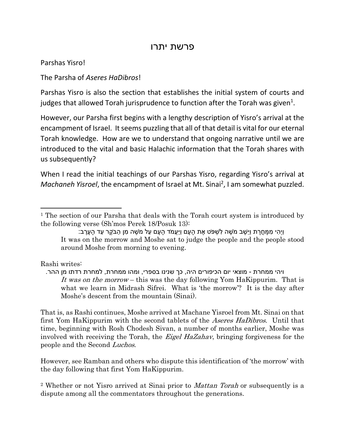## פרשת יתרו

Parshas Yisro!

The Parsha of *Aseres HaDibros*!

Parshas Yisro is also the section that establishes the initial system of courts and judges that allowed Torah jurisprudence to function after the Torah was given<sup>1</sup>.

However, our Parsha first begins with a lengthy description of Yisro's arrival at the encampment of Israel. It seems puzzling that all of that detail is vital for our eternal Torah knowledge. How are we to understand that ongoing narrative until we are introduced to the vital and basic Halachic information that the Torah shares with us subsequently?

When I read the initial teachings of our Parshas Yisro, regarding Yisro's arrival at Machaneh Yisroel, the encampment of Israel at Mt. Sinai<sup>2</sup>, I am somewhat puzzled.

Rashi writes:

 $\overline{a}$ 

ויהי ממחרת - מוצאי יום הכיפורים היה, כך שנינו בספרי, ומהו ממחרת, למחרת רדתו מן ההר. It was on the morrow – this was the day following Yom HaKippurim. That is what we learn in Midrash Sifrei. What is 'the morrow'? It is the day after Moshe's descent from the mountain (Sinai).

That is, as Rashi continues, Moshe arrived at Machane Yisroel from Mt. Sinai on that first Yom HaKippurim with the second tablets of the *Aseres HaDibros*. Until that time, beginning with Rosh Chodesh Sivan, a number of months earlier, Moshe was involved with receiving the Torah, the *Eigel HaZahav*, bringing forgiveness for the people and the Second Luchos.

However, see Ramban and others who dispute this identification of 'the morrow' with the day following that first Yom HaKippurim.

<sup>2</sup> Whether or not Yisro arrived at Sinai prior to *Mattan Torah* or subsequently is a dispute among all the commentators throughout the generations.

<sup>&</sup>lt;sup>1</sup> The section of our Parsha that deals with the Torah court system is introduced by the following verse (Sh'mos Perek 18/Posuk 13):

וֵיהי מִמַּחֲרַת וַיַּשֶׁב מֹשֶׁה לְשִׁפֹּט אֶת הֲעָם וַיַּעֲמֹד הַעַם עַל מֹשֶׁה מִן הַבֹּקֶר עַד הַעַרָב: It was on the morrow and Moshe sat to judge the people and the people stood around Moshe from morning to evening.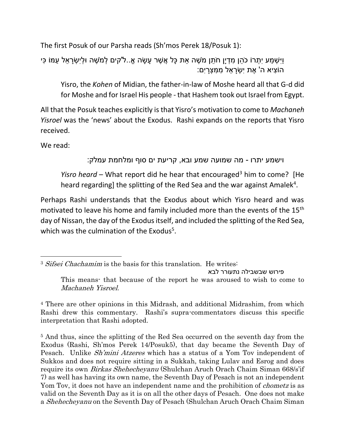The first Posuk of our Parsha reads (Sh'mos Perek 18/Posuk 1):

וַיִּשְׁמַע יִתְרוֹ כֹהן מִדְיַן חֹתן מֹשֶׁה את כַּל אֲשֶׁר ַעֲשׂה אֶ..ל'קים לְמֹשֶׁה וּלִישָׂראל עִמּוֹ כּי ֿהוֹצִיא ה' אֶת יְשָׂרַאֵל מְמִצְרַיִם:

Yisro, the *Kohen* of Midian, the father-in-law of Moshe heard all that G-d did for Moshe and for Israel His people - that Hashem took out Israel from Egypt.

All that the Posuk teaches explicitly is that Yisro's motivation to come to *Machaneh Yisroel* was the 'news' about the Exodus. Rashi expands on the reports that Yisro received.

We read:

l

וישמע יתרו - מה שמועה שמע ובא, קריעת ים סוף ומלחמת עמלק:

*Yisro heard* – What report did he hear that encouraged<sup>3</sup> him to come? [He heard regarding] the splitting of the Red Sea and the war against Amalek<sup>4</sup>.

Perhaps Rashi understands that the Exodus about which Yisro heard and was motivated to leave his home and family included more than the events of the 15<sup>th</sup> day of Nissan, the day of the Exodus itself, and included the splitting of the Red Sea, which was the culmination of the Exodus<sup>5</sup>.

פירוש שבשבילה נתעורר לבא

<sup>4</sup> There are other opinions in this Midrash, and additional Midrashim, from which Rashi drew this commentary. Rashi's supra-commentators discuss this specific interpretation that Rashi adopted.

<sup>5</sup> And thus, since the splitting of the Red Sea occurred on the seventh day from the Exodus (Rashi, Sh'mos Perek 14/Posuk5), that day became the Seventh Day of Pesach. Unlike *Sh'mini Atzeres* which has a status of a Yom Tov independent of Sukkos and does not require sitting in a Sukkah, taking Lulav and Esrog and does require its own Birkas Shehecheyanu (Shulchan Aruch Orach Chaim Siman 668/s'if 7) as well has having its own name, the Seventh Day of Pesach is not an independent Yom Tov, it does not have an independent name and the prohibition of *chometz* is as valid on the Seventh Day as it is on all the other days of Pesach. One does not make a Shehecheyanu on the Seventh Day of Pesach (Shulchan Aruch Orach Chaim Siman

<sup>&</sup>lt;sup>3</sup> Sifsei Chachamim is the basis for this translation. He writes:

This means- that because of the report he was aroused to wish to come to Machaneh Yisroel.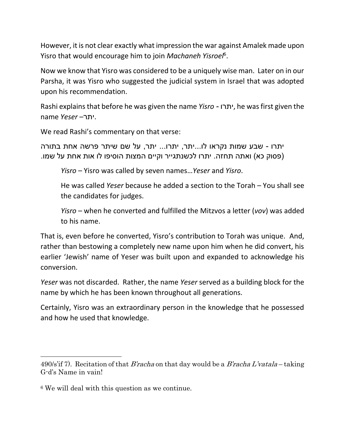However, it is not clear exactly what impression the war against Amalek made upon Yisro that would encourage him to join *Machaneh Yisroel*<sup>6</sup> .

Now we know that Yisro was considered to be a uniquely wise man. Later on in our Parsha, it was Yisro who suggested the judicial system in Israel that was adopted upon his recommendation.

Rashi explains that before he was given the name *Yisro -* יתרו, he was first given the name *Yeser* –יתר.

We read Rashi's commentary on that verse:

יתרו - שבע שמות נקראו לו...יתר, יתרו... יתר, על שם שיתר פרשה אחת בתורה (פסוק כא) ואתה תחזה. יתרו לכשנתגייר וקיים המצות הוסיפו לו אות אחת על שמו.

*Yisro* – Yisro was called by seven names…*Yeser* and *Yisro*.

He was called *Yeser* because he added a section to the Torah – You shall see the candidates for judges.

*Yisro* – when he converted and fulfilled the Mitzvos a letter (*vov*) was added to his name.

That is, even before he converted, Yisro's contribution to Torah was unique. And, rather than bestowing a completely new name upon him when he did convert, his earlier 'Jewish' name of Yeser was built upon and expanded to acknowledge his conversion.

*Yeser* was not discarded. Rather, the name *Yeser* served as a building block for the name by which he has been known throughout all generations.

Certainly, Yisro was an extraordinary person in the knowledge that he possessed and how he used that knowledge.

<sup>490/</sup>s'if 7). Recitation of that *B'racha* on that day would be a *B'racha L'vatala* – taking G-d's Name in vain!

<sup>6</sup> We will deal with this question as we continue.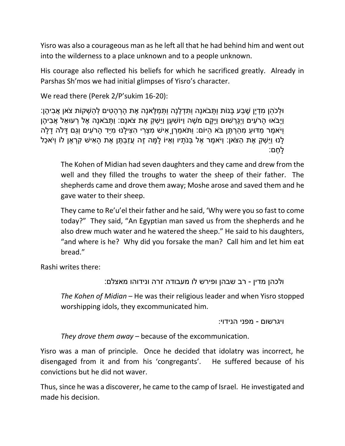Yisro was also a courageous man as he left all that he had behind him and went out into the wilderness to a place unknown and to a people unknown.

His courage also reflected his beliefs for which he sacrificed greatly. Already in Parshas Sh'mos we had initial glimpses of Yisro's character.

We read there (Perek 2/P'sukim 16-20):

ּו ְלכֵֹּהן ִמ ְדיָּן ֶׁש ַבע ָּבנֹות וַ ָּתבֹאנָּה וַ ִת ְד ֶׁלנָּה וַ ְת ַמ ֶׁלאנָּה ֶׁאת ָּה ְר ָּה ִטים ְל ַה ְשקֹות צֹאן ֲא ִבי ֶׁהן: וַיָּבֹאוּ הַרֹעִים וַיְגַרְשׁוּם וַיַּקַם מֹשֶׁה וַיּוֹשָׁעַן וַיַּשְׁקָ אֶת צֹאנַם: וַתַּבֹאנַה אֶל רְעוּאֶל אֶבִיהֶן ויֹאמֶר מדּוּע מהרָתֵּן בֹּא היוֹם: ותֹּאמרְן ַאישׁ מַצְרי הצילנוּ מיד הַרֹעים וְגם דלה דלה ַּלְנּוּ וַיַּשְׁקָ אֶת הַצֹּאן: וַיֹּאמֶר אֵל בְּנֹתַיו וְאַיּוֹ לַמַּה זֶה עֲזַבְתֶּן אֶת הַאִישׁ קִרְאֵן לוֹ וְיֹאכַל ָּל ֶׁחם:

The Kohen of Midian had seven daughters and they came and drew from the well and they filled the troughs to water the sheep of their father. The shepherds came and drove them away; Moshe arose and saved them and he gave water to their sheep.

They came to Re'u'el their father and he said, 'Why were you so fast to come today?" They said, "An Egyptian man saved us from the shepherds and he also drew much water and he watered the sheep." He said to his daughters, "and where is he? Why did you forsake the man? Call him and let him eat bread."

Rashi writes there:

```
ולכהן מדין - רב שבהן ופירש לו מעבודה זרה ונידוהו מאצלם:
```
*The Kohen of Midian* – He was their religious leader and when Yisro stopped worshipping idols, they excommunicated him.

ויגרשום - מפני הנידוי:

*They drove them away* – because of the excommunication.

Yisro was a man of principle. Once he decided that idolatry was incorrect, he disengaged from it and from his 'congregants'. He suffered because of his convictions but he did not waver.

Thus, since he was a discoverer, he came to the camp of Israel. He investigated and made his decision.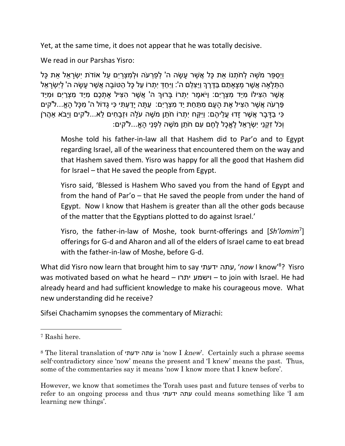Yet, at the same time, it does not appear that he was totally decisive.

We read in our Parshas Yisro:

וַיְסִפּר מֹשָׁה לְחֹתָנוֹ את כַּל אֲשָׁר ַעָשׂה ה' לְפַרְעֹה וּלְמַצְרִים על אוֹדֹת יִשְׂרַאל את כַּל ָהַתְּלַאַה אֲשֶׁר מְצָאַתַם בַּדֶּרֶךְ וַיַּצְלֵם ה': וַיִּחַדְּ יִתְרוֹ עַל כָּל הַטּוֹבָה אֲשֶׁר עַשָּׂה ה' לְיִשְׂרָאֵל ֿאֲשֶׁר הָצִּילׂוֹ מִיַּד מִצְרַיִם: וַיֹּאמֶר יִתְרוֹ בַּרוּךְ ה' אֲשֶׁר הָצִיל אֶתְכֵם מִיַּד מִצְרַיִם וּמִיַד ַפְּרְעֹה אֲשֶׁר הִצִּיל אֶת הַעַם מִתַּחַת יַד מִצְרַיִם: ַעֲתַּה יַדַעְתִּי כִּי גַדוֹל ה' מִכָּל הַאֱ...ל'קים ַּכִּי בַדְּבר אֲשֶׁר זָדוּ עֵליהֶם: וִיקּח יִתְרוֹ חֹתן מֹשֶׁה עַלה וּזְבַחים לֹא...ל'קים וַיָּבֹא אִהֶרֹן וְכֹל זִקְנֵי יִשְׂרַאֵל לֵאֱכָל לֵחֵם עִם חֹתֵן מֹשֶׁה לְפָנֵי הַאֱ...ל'קים:

Moshe told his father-in-law all that Hashem did to Par'o and to Egypt regarding Israel, all of the weariness that encountered them on the way and that Hashem saved them. Yisro was happy for all the good that Hashem did for Israel – that He saved the people from Egypt.

Yisro said, 'Blessed is Hashem Who saved you from the hand of Egypt and from the hand of Par'o – that He saved the people from under the hand of Egypt. Now I know that Hashem is greater than all the other gods because of the matter that the Egyptians plotted to do against Israel.'

Yisro, the father-in-law of Moshe, took burnt-offerings and [*Sh'lomim*<sup>7</sup> ] offerings for G-d and Aharon and all of the elders of Israel came to eat bread with the father-in-law of Moshe, before G-d.

What did Yisro now learn that brought him to say ידעתי עתה,' *now* I know'<sup>8</sup> ? Yisro was motivated based on what he heard – יתרו וישמע – to join with Israel. He had already heard and had sufficient knowledge to make his courageous move. What new understanding did he receive?

Sifsei Chachamim synopses the commentary of Mizrachi:

 $\overline{a}$ 

However, we know that sometimes the Torah uses past and future tenses of verbs to refer to an ongoing process and thus ידעתי עתה could means something like 'I am learning new things'.

<sup>7</sup> Rashi here.

<sup>8</sup> The literal translation of ידעתי עתה is 'now I knew'. Certainly such a phrase seems self-contradictory since 'now' means the present and 'I knew' means the past. Thus, some of the commentaries say it means 'now I know more that I knew before'.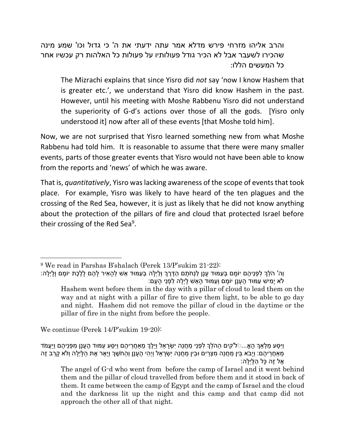והרב אליהו מזרחי פירש מדלא אמר עתה ידעתי את ה' כי גדול וכו' שמע מינה שהכירו לשעבר אבל לא הכיר גודל פעולותיו על פעולות כל האלהות רק עכשיו אחר כל המעשים הללו:

The Mizrachi explains that since Yisro did *not* say 'now I know Hashem that is greater etc.', we understand that Yisro did know Hashem in the past. However, until his meeting with Moshe Rabbenu Yisro did not understand the superiority of G-d's actions over those of all the gods. [Yisro only understood it] now after all of these events [that Moshe told him].

Now, we are not surprised that Yisro learned something new from what Moshe Rabbenu had told him. It is reasonable to assume that there were many smaller events, parts of those greater events that Yisro would not have been able to know from the reports and 'news' of which he was aware.

That is, *quantitatively*, Yisro was lacking awareness of the scope of events that took place. For example, Yisro was likely to have heard of the ten plagues and the crossing of the Red Sea, however, it is just as likely that he did not know anything about the protection of the pillars of fire and cloud that protected Israel before their crossing of the Red Sea<sup>9</sup>.

We continue (Perek 14/P'sukim 19-20):

 $\overline{a}$ 

וַיִ ַסע ַמ ְל ַאְך ָּה אֹֹ... ל'קים ַההֵֹּלְך ִל ְפנֵּי ַמ ֲחנֵּה יִ ְשָּר ֵּאל וַיֵּ ֶׁלְך ֵּמַא ֲחֵּרי ֶׁהם וַיִ ַסע ַעמּוד ֶׁה ָּענָּן ִמ ְפנֵּי ֶׁהם וַיֲַעמֹד ַּמְאַחֲרֵיהֶם: וַיָּבֹא בֵּין מַחֲנֵה מִצְרַיִם וּבֵין מַחֲנֵה יִשְׂרָאֵל וַיְהִי הֶעָנַן וְהַחֹשֶׁךְ וַיָּאֶר אֶת הַלַּיְלָה וְלֹא קַרַב זֶה ָּאֵל זֶה כַּל הַלַּיְלֵה:

The angel of G-d who went from before the camp of Israel and it went behind them and the pillar of cloud travelled from before them and it stood in back of them. It came between the camp of Egypt and the camp of Israel and the cloud and the darkness lit up the night and this camp and that camp did not approach the other all of that night.

<sup>9</sup> We read in Parshas B'shalach (Perek 13/P'sukim 21-22):

וַה' הֵֹּלְך ִל ְפנֵּי ֶׁהם יֹו ָּמם ְב ַעמּוד ָּענָּן ַלנְחֹ ָּתם ַהֶּׁדֶׁרְך וְ ַליְ ָּלה ְב ַעמּוד ֵּאש ְל ָּה ִאיר ָּל ֶׁהם ָּל ֶׁל ֶׁכת יֹו ָּמם וָּ ָּליְ ָּלה: ֿלֹא יַמִישׁ עַמּוּד הֶעֲנֵן יוֹמֵם וְעַמּוּד הַאֵשׁ לַיְלֵה לְפָנֵי הַעֲם:

Hashem went before them in the day with a pillar of cloud to lead them on the way and at night with a pillar of fire to give them light, to be able to go day and night. Hashem did not remove the pillar of cloud in the daytime or the pillar of fire in the night from before the people.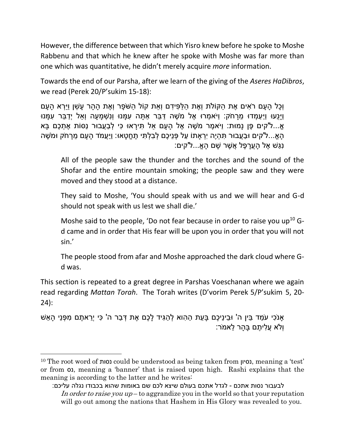However, the difference between that which Yisro knew before he spoke to Moshe Rabbenu and that which he knew after he spoke with Moshe was far more than one which was quantitative, he didn't merely acquire *more* information.

Towards the end of our Parsha, after we learn of the giving of the *Aseres HaDibros*, we read (Perek 20/P'sukim 15-18):

וָכל הַעם רֹאים אֶת הקוֹלת וְאֶת הלּפּידם וְאת קוֹל הֹשֹׂפַר וְאֶת הַהַר עַשן ויִּרְא הַעַם וַיַּנַעוּ וַיַּעֲמִדוּ מֵרַחֹק: וַיֹּאמְרוּ אֵל מֹשֶׁה דַּבֶּר אַתָּה עִמַּנוּ וְנִשְׁמַעַה וְאַל יְדַבֶּר עִמַּנוּ ֿאֲ...ל'קים פֶּן נַמּוּת: וַיֹּאמֶר מֹשֶׁה אֶל הַעָּם אַל תִּירַאוּ כִּי לְבַעֲבוּר נַסּוֹת אֶתְכֶם בַּא ֿהָאֱ...ל'קים וּבַעֲבוּר תְּהְיֶה יִרְאַתוֹ עַל פְּנֵיכֶם לְבָלְתִּי תֶחֱטָאוּ: וַיַּעֲמֹד הָעָם מֵרָחֹק וּמֹשֶׁה ْנְגַּשׁ אֶל הַעֲרַפֶּל אֲשֶׁר שַׁם הַאֱ...ל'קים:

All of the people saw the thunder and the torches and the sound of the Shofar and the entire mountain smoking; the people saw and they were moved and they stood at a distance.

They said to Moshe, 'You should speak with us and we will hear and G-d should not speak with us lest we shall die.'

Moshe said to the people, 'Do not fear because in order to raise you up<sup>10</sup> Gd came and in order that His fear will be upon you in order that you will not sin.'

The people stood from afar and Moshe approached the dark cloud where Gd was.

This section is repeated to a great degree in Parshas Voeschanan where we again read regarding *Mattan Torah*. The Torah writes (D'vorim Perek 5/P'sukim 5, 20- 24):

ָאנֹכִי עֹמֵד בֵּין ה' וּבֵינֵיכֶם בַּעֶת הַהוא לְהַגִּיד לַכֶּם אֶת דְּבַר ה' כִּי יְרֵאתֶם מִפְּנֵי הַאֵּשׁ וְֹלא ֲע ִלי ֶׁתם ָּב ָּהר ֵּלאמֹר:

 $\overline{a}$ 

<sup>10</sup> The root word of נסות could be understood as being taken from נסיון, meaning a 'test' or from 01, meaning a 'banner' that is raised upon high. Rashi explains that the meaning is according to the latter and he writes:

לבעבור נסות אתכם - לגדל אתכם בעולם שיצא לכם שם באומות שהוא בכבודו נגלה עליכם: In order to raise you  $up$  – to aggrandize you in the world so that your reputation will go out among the nations that Hashem in His Glory was revealed to you.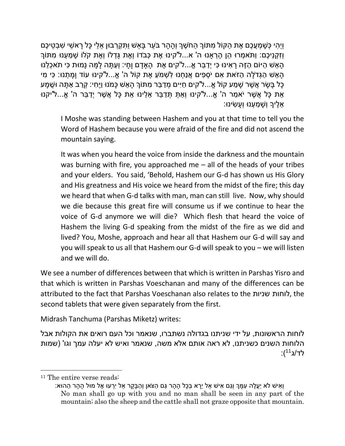וַיְהִי כְּשַׁמְעֵכֶם אֶת הַקּוֹל מִתּוֹךְ הַחֹשֶׁךְ וְהַהָר בֹּעֶר בַּאֵשׁ וַתִּקְרָבוּן אֵלֵי כַּל רַאשִׁי שִׁבְטֵיכֶם וְזקַנִיכֶם: וַתֹּאמְרוּ הן הֶרְאנוּ ה' א...ל'קינוּ אֶת כָּבֹדוֹ וְאֶת גִּדְלוֹ וְאֶת קֹלֹוֹ שַׁמַעְנוּ מִתּוֹך ָּה ְּהָאֵשׁ הַיּוֹם הָזֶה רַאִינוּ כִּי יְדַבֶּר אֱ...ל'קים אֶת הָאַדַם וַחַי: וְעַתָּה לָמָּה נָמוּת כִּי תֹאכָלֵנוּ ַּהַאשׁ הגָּדֹלה הזֹאת אם יֹסְפים אֱנחָנוּ לֹשָׁמֹע אֶת קוֹל ה' אֵ...ל'קינוּ עוֹד וַמתָנוּ: כּי מי ָּכָּל בַּשָּׂר אֲשֶׁר שַׁמַע קוֹל אֶ...ל'קים חַיִּים מִדַּבֵּר מִתּוֹךְ הַאֵשׁ כָּמֹנוּ וַיֵּחִי: קְרַב אַתָּה וּשָׁמַע ֿאֶת כָּל אֲשֶׁר יֹאמַר ה' אֱ...ל'קינוּ וְאַתְּ תְּדַבֶּר אֶלֶינוּ אֶת כָּל אֲשֶׁר יְדַבֶּר ה' אֱ...ל'יקנוּ ָּאֵלֵיךָ וְשֻׁמַּעָנוּ וְעַשִׂינוּ:

I Moshe was standing between Hashem and you at that time to tell you the Word of Hashem because you were afraid of the fire and did not ascend the mountain saying.

It was when you heard the voice from inside the darkness and the mountain was burning with fire, you approached me – all of the heads of your tribes and your elders. You said, 'Behold, Hashem our G-d has shown us His Glory and His greatness and His voice we heard from the midst of the fire; this day we heard that when G-d talks with man, man can still live. Now, why should we die because this great fire will consume us if we continue to hear the voice of G-d anymore we will die? Which flesh that heard the voice of Hashem the living G-d speaking from the midst of the fire as we did and lived? You, Moshe, approach and hear all that Hashem our G-d will say and you will speak to us all that Hashem our G-d will speak to you – we will listen and we will do.

We see a number of differences between that which is written in Parshas Yisro and that which is written in Parshas Voeschanan and many of the differences can be attributed to the fact that Parshas Voeschanan also relates to the שניות לוחות, the second tablets that were given separately from the first.

Midrash Tanchuma (Parshas Miketz) writes:

לוחות הראשונות, על ידי שניתנו בגדולה נשתברו, שנאמר וכל העם רואים את הקולות אבל הלוחות השנים כשניתנו, לא ראה אותם אלא משה, שנאמר ואיש לא יעלה עמך וגו' )שמות :(<sup>11</sup>ג<sup>11</sup>)

<sup>11</sup> The entire verse reads:

וְאִישׁ לֹא יַעֲלֵה עְמַּךְ וְגֵם אִישׁ אַל יֵרַא בְּכַל הָהָר גַּם הַצֹּאן וְהָבָּקַר אַל יִרְעוּ אֶל מוּל הַהָר הָהוּא: No man shall go up with you and no man shall be seen in any part of the mountain; also the sheep and the cattle shall not graze opposite that mountain.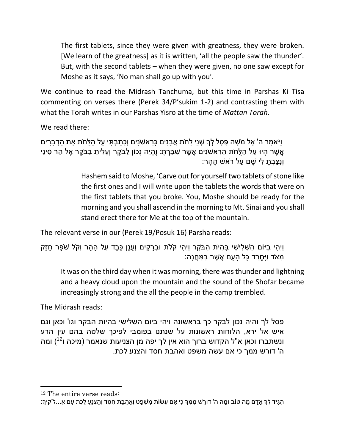The first tablets, since they were given with greatness, they were broken. [We learn of the greatness] as it is written, 'all the people saw the thunder'. But, with the second tablets – when they were given, no one saw except for Moshe as it says, 'No man shall go up with you'.

We continue to read the Midrash Tanchuma, but this time in Parshas Ki Tisa commenting on verses there (Perek 34/P'sukim 1-2) and contrasting them with what the Torah writes in our Parshas Yisro at the time of *Mattan Torah*.

We read there:

וַיֹא ֶׁמר ה' ֶׁאל מֹ ֶׁשה ְפ ָּסל ְלָך ְשנֵּי ֻלחֹת ֲא ָּבנִים ָּכ ִראשֹנִים וְ ָּכ ַת ְב ִתי ַעל ַהֻלחֹת ֶׁאת ַה ְּד ָּב ִרים ַּאֲשֶׁר הַיוּ עַל הַלֶּחֹת הַרְאשֹׁנִים אֲשֶׁר שִׁבַּרְתַּ: וֶהְיֶה נַכוֹן לַבֹּקֶר וְעַלִיתָ בַבֹּקֶר אֶל הַר סִינַי וְנִצְבַת לִי שִׁם עַל רֹאשׁ ההר:

> Hashem said to Moshe, 'Carve out for yourself two tablets of stone like the first ones and I will write upon the tablets the words that were on the first tablets that you broke. You, Moshe should be ready for the morning and you shall ascend in the morning to Mt. Sinai and you shall stand erect there for Me at the top of the mountain.

The relevant verse in our (Perek 19/Posuk 16) Parsha reads:

```
וַיְהִי בַיּוֹם הַשָּׁלִישִׁי בְּהִיֹת הַבֹּקֶר וַיְהִי קֹלֹת וּבְרָקִים וְעָנָן כָּבֵד עַל הָהָר וְקֹל שֹׁפָּר חָזָק
                                                         ּמְּאֹד וַיֵּחֵרַד כָּל הַעֲם אֲשֶׁר בַּמַּחֲנֵה:
```
It was on the third day when it was morning, there was thunder and lightning and a heavy cloud upon the mountain and the sound of the Shofar became increasingly strong and the all the people in the camp trembled.

The Midrash reads:

פסל לך והיה נכון לבקר כך בראשונה ויהי ביום השלישי בהיות הבקר וגו' וכאן וגם איש אל ירא, הלוחות ראשונות על שנתנו בפומבי לפיכך שלטה בהם עין הרע ונשתברו וכאן א"ל הקדוש ברוך הוא אין לך יפה מן הצניעות שנאמר (מיכה ו<sup>12</sup>) ומה ה' דורש ממך כי אם עשה משפט ואהבת חסד והצנע לכת.

 $\overline{a}$ 

<sup>12</sup> The entire verse reads:

<sup>ָ</sup>הְגִּיד לְךָ אַדָם מַה טּוֹב וּמָה ה' דּוֹרֵשׁ מִמְּךָ כִּי אִם עֵשׂוֹת מְשִׁפָּט וְאַהֲבַת חֶסֶד וְהַצְנֵעַ לֶכֶת עִם אֱ...ל'קיךָ: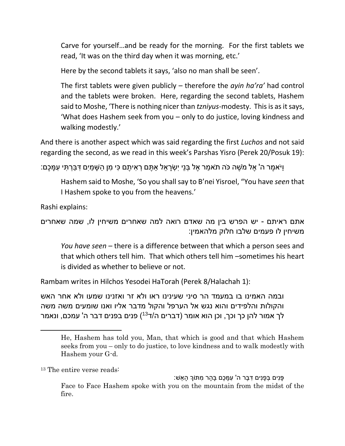Carve for yourself…and be ready for the morning. For the first tablets we read, 'It was on the third day when it was morning, etc.'

Here by the second tablets it says, 'also no man shall be seen'.

The first tablets were given publicly – therefore the *ayin ha'ra'* had control and the tablets were broken. Here, regarding the second tablets, Hashem said to Moshe, 'There is nothing nicer than *tzniyus*-modesty. This is as it says, 'What does Hashem seek from you – only to do justice, loving kindness and walking modestly.'

And there is another aspect which was said regarding the first *Luchos* and not said regarding the second, as we read in this week's Parshas Yisro (Perek 20/Posuk 19):

ַּוַּיֹּאמֶר ה' אֶל מֹשֶׁה כֹּה תֹאמַר אֶל בְּנֵי יִשְׂרַאֵל אַתֶּם רְאִיתֶם כִּי מִן הַשָּׁמַיִם דִּבְּרְתִּי עָמַּכֶם:

Hashem said to Moshe, 'So you shall say to B'nei Yisroel, "You have *seen* that I Hashem spoke to you from the heavens.'

Rashi explains:

אתם ראיתם - יש הפרש בין מה שאדם רואה למה שאחרים משיחין לו, שמה שאחרים משיחין לו פעמים שלבו חלוק מלהאמין:

*You have seen* – there is a difference between that which a person sees and that which others tell him. That which others tell him –sometimes his heart is divided as whether to believe or not.

Rambam writes in Hilchos Yesodei HaTorah (Perek 8/Halachah 1):

ובמה האמינו בו במעמד הר סיני שעינינו ראו ולא זר ואזנינו שמעו ולא אחר האש והקולות והלפידים והוא נגש אל הערפל והקול מדבר אליו ואנו שומעים משה משה לך אמור להן כך וכך, וכן הוא אומר (דברים ה/ד<sup>13</sup>) פנים בפנים דבר ה' עמכם, ונאמר

<sup>13</sup> The entire verse reads:

 $\overline{a}$ 

ָּפָּנִים בְּפָנִים דְּבֶּר ה' עְמָּכֶם בָּהָר מִתּוֹךְ הָאֵשׁ:

He, Hashem has told you, Man, that which is good and that which Hashem seeks from you – only to do justice, to love kindness and to walk modestly with Hashem your G-d.

Face to Face Hashem spoke with you on the mountain from the midst of the fire.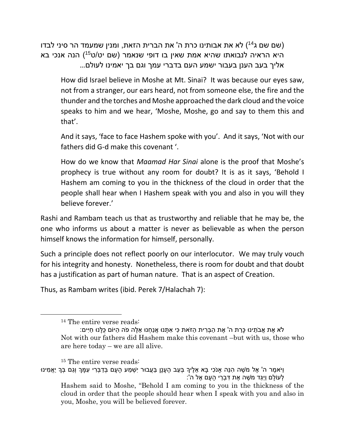(שם שם ג<sup>14</sup>) לא את אבותינו כרת ה' את הברית הזאת, ומנין שמעמד הר סיני לבדו היא הראיה לנבואתו שהיא אמת שאין בו דופי שנאמר (שם יט/ט<sup>15</sup>) הנה אנכי בא אליך בעב הענן בעבור ישמע העם בדברי עמך וגם בך יאמינו לעולם...

How did Israel believe in Moshe at Mt. Sinai? It was because our eyes saw, not from a stranger, our ears heard, not from someone else, the fire and the thunder and the torches and Moshe approached the dark cloud and the voice speaks to him and we hear, 'Moshe, Moshe, go and say to them this and that'.

And it says, 'face to face Hashem spoke with you'. And it says, 'Not with our fathers did G-d make this covenant '.

How do we know that *Maamad Har Sinai* alone is the proof that Moshe's prophecy is true without any room for doubt? It is as it says, 'Behold I Hashem am coming to you in the thickness of the cloud in order that the people shall hear when I Hashem speak with you and also in you will they believe forever.'

Rashi and Rambam teach us that as trustworthy and reliable that he may be, the one who informs us about a matter is never as believable as when the person himself knows the information for himself, personally.

Such a principle does not reflect poorly on our interlocutor. We may truly vouch for his integrity and honesty. Nonetheless, there is room for doubt and that doubt has a justification as part of human nature. That is an aspect of Creation.

Thus, as Rambam writes (ibid. Perek 7/Halachah 7):

<sup>14</sup> The entire verse reads:

<sup>ֿ</sup>לֹא אֶת אֲבֹתֵינוּ כָּרַת ה' אֶת הַבְּרִית הַזֹּאת כִּי אִתָּנוּ אֲנַחְנוּ אֶלֶּה פֹה הַיּוֹם כָּלָּנוּ חַיִּים: Not with our fathers did Hashem make this covenant –but with us, those who are here today – we are all alive.

<sup>15</sup> The entire verse reads:

וַיֹּאמֶר ה' אֶל מֹשֶׁה הַנֵּה אנֹכִי בַּא אֵלֵיךָ בְּעַב הֶעַנֵן בַּעֲבוּר יִשְׁמַע הַעַם בְּדָבְּרִי עָמַּךְ וְגַם בִּךְ יַאֲמִינוּ **ַּלְעוֹלָם וַיַּגֵּד מֹשֶׁה אֶת דְּבְרֵי הָעָם אֶל ה'**: Hashem said to Moshe, "Behold I am coming to you in the thickness of the cloud in order that the people should hear when I speak with you and also in you, Moshe, you will be believed forever.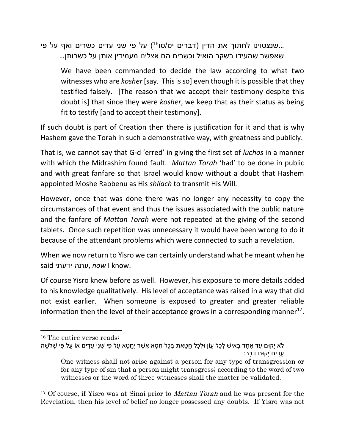שנצטוינו לחתוך את הדין (דברים יט/טו<sup>16</sup>) על פי שני עדים כשרים ואף על פי... שאפשר שהעידו בשקר הואיל וכשרים הם אצלינו מעמידין אותן על כשרותן...

We have been commanded to decide the law according to what two witnesses who are *kosher* [say. This is so] even though it is possible that they testified falsely. [The reason that we accept their testimony despite this doubt is] that since they were *kosher*, we keep that as their status as being fit to testify [and to accept their testimony].

If such doubt is part of Creation then there is justification for it and that is why Hashem gave the Torah in such a demonstrative way, with greatness and publicly.

That is, we cannot say that G-d 'erred' in giving the first set of *luchos* in a manner with which the Midrashim found fault. *Mattan Torah* 'had' to be done in public and with great fanfare so that Israel would know without a doubt that Hashem appointed Moshe Rabbenu as His *shliach* to transmit His Will.

However, once that was done there was no longer any necessity to copy the circumstances of that event and thus the issues associated with the public nature and the fanfare of *Mattan Torah* were not repeated at the giving of the second tablets. Once such repetition was unnecessary it would have been wrong to do it because of the attendant problems which were connected to such a revelation.

When we now return to Yisro we can certainly understand what he meant when he said ידעתי עתה, *now* I know.

Of course Yisro knew before as well. However, his exposure to more details added to his knowledge qualitatively. His level of acceptance was raised in a way that did not exist earlier. When someone is exposed to greater and greater reliable information then the level of their acceptance grows in a corresponding manner<sup>17</sup>.

 $\overline{a}$ 

<sup>17</sup> Of course, if Yisro was at Sinai prior to *Mattan Torah* and he was present for the Revelation, then his level of belief no longer possessed any doubts. If Yisro was not

<sup>&</sup>lt;sup>16</sup> The entire verse reads:

<sup>ֿ</sup>לֹא יַקוּם עַד אֶחַד בָּאִישׁ לְכָל עַוֹן וּלְכָל חֲטָאת בְּכָל חֲטָא אֱשֶׁר יֶחֱטָא עַל פִּי שָׁנֵי עַדִים אוֹ עַל פִּי שִׁלשַׁה ָעדים יִקוּּם דּבר:

One witness shall not arise against a person for any type of transgression or for any type of sin that a person might transgress; according to the word of two witnesses or the word of three witnesses shall the matter be validated.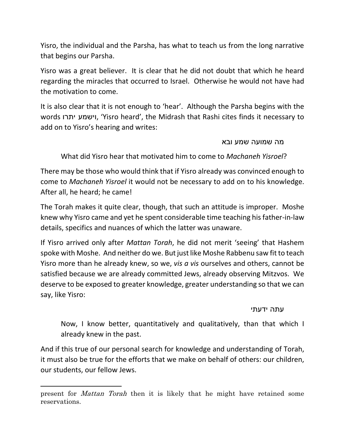Yisro, the individual and the Parsha, has what to teach us from the long narrative that begins our Parsha.

Yisro was a great believer. It is clear that he did not doubt that which he heard regarding the miracles that occurred to Israel. Otherwise he would not have had the motivation to come.

It is also clear that it is not enough to 'hear'. Although the Parsha begins with the words יתרו וישמע,' Yisro heard', the Midrash that Rashi cites finds it necessary to add on to Yisro's hearing and writes:

## מה שמועה שמע ובא

What did Yisro hear that motivated him to come to *Machaneh Yisroel*?

There may be those who would think that if Yisro already was convinced enough to come to *Machaneh Yisroel* it would not be necessary to add on to his knowledge. After all, he heard; he came!

The Torah makes it quite clear, though, that such an attitude is improper. Moshe knew why Yisro came and yet he spent considerable time teaching his father-in-law details, specifics and nuances of which the latter was unaware.

If Yisro arrived only after *Mattan Torah*, he did not merit 'seeing' that Hashem spoke with Moshe. And neither do we. But just like Moshe Rabbenu saw fit to teach Yisro more than he already knew, so we, *vis a vis* ourselves and others, cannot be satisfied because we are already committed Jews, already observing Mitzvos. We deserve to be exposed to greater knowledge, greater understanding so that we can say, like Yisro:

עתה ידעתי

Now, I know better, quantitatively and qualitatively, than that which I already knew in the past.

And if this true of our personal search for knowledge and understanding of Torah, it must also be true for the efforts that we make on behalf of others: our children, our students, our fellow Jews.

present for *Mattan Torah* then it is likely that he might have retained some reservations.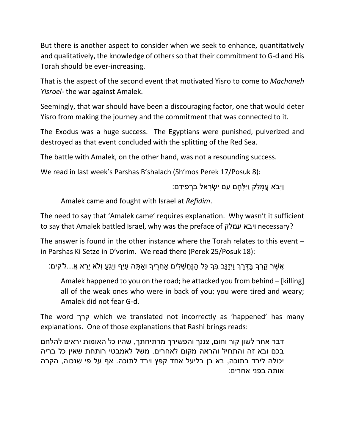But there is another aspect to consider when we seek to enhance, quantitatively and qualitatively, the knowledge of others so that their commitment to G-d and His Torah should be ever-increasing.

That is the aspect of the second event that motivated Yisro to come to *Machaneh Yisroel*- the war against Amalek.

Seemingly, that war should have been a discouraging factor, one that would deter Yisro from making the journey and the commitment that was connected to it.

The Exodus was a huge success. The Egyptians were punished, pulverized and destroyed as that event concluded with the splitting of the Red Sea.

The battle with Amalek, on the other hand, was not a resounding success.

We read in last week's Parshas B'shalach (Sh'mos Perek 17/Posuk 8):

וַיַּבֹא עֲמַלֵק וַיִּלַּחֵם עִם יִשְׂרַאֵל בַּרְפִידִם:

Amalek came and fought with Israel at *Refidim*.

The need to say that 'Amalek came' requires explanation. Why wasn't it sufficient to say that Amalek battled Israel, why was the preface of עמלק ויבא necessary?

The answer is found in the other instance where the Torah relates to this event – in Parshas Ki Setze in D'vorim. We read there (Perek 25/Posuk 18):

ָּאֲשֶׁר קָרְךָ בַּדֶּרֶךְ וַיְזַנֵּב בְּךָ כָּל הַנֶּחֱשָׁלִים אַחֲרֶיךָ וְאַתָּה עָיֵף וְיָגֵעַ וְלֹא יָרֵא אֱ...ל'קים:

Amalek happened to you on the road; he attacked you from behind – [killing] all of the weak ones who were in back of you; you were tired and weary; Amalek did not fear G-d.

The word קרך which we translated not incorrectly as 'happened' has many explanations. One of those explanations that Rashi brings reads:

דבר אחר לשון קור וחום, צננך והפשירך מרתיחתך, שהיו כל האומות יראים להלחם בכם ובא זה והתחיל והראה מקום לאחרים. משל לאמבטי רותחת שאין כל בריה יכולה לירד בתוכה, בא בן בליעל אחד קפץ וירד לתוכה. אף על פי שנכוה, הקרה אותה בפני אחרים: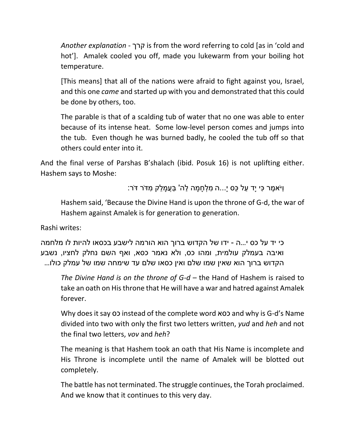*Another explanation* - קרך is from the word referring to cold [as in 'cold and hot']. Amalek cooled you off, made you lukewarm from your boiling hot temperature.

[This means] that all of the nations were afraid to fight against you, Israel, and this one *came* and started up with you and demonstrated that this could be done by others, too.

The parable is that of a scalding tub of water that no one was able to enter because of its intense heat. Some low-level person comes and jumps into the tub. Even though he was burned badly, he cooled the tub off so that others could enter into it.

And the final verse of Parshas B'shalach (ibid. Posuk 16) is not uplifting either. Hashem says to Moshe:

וַיֹא ֶׁמר ִכי יָּד ַעל ֵּכס י...ָּה ִמ ְל ָּח ָּמה ַלה' ַבֲע ָּמ ֵּלק ִמּדֹר ּדֹר:

Hashem said, 'Because the Divine Hand is upon the throne of G-d, the war of Hashem against Amalek is for generation to generation.

Rashi writes:

כי יד על כס י...ה - ידו של הקדוש ברוך הוא הורמה לישבע בכסאו להיות לו מלחמה ואיבה בעמלק עולמית, ומהו כס, ולא נאמר כסא, ואף השם נחלק לחציו, נשבע הקדוש ברוך הוא שאין שמו שלם ואין כסאו שלם עד שימחה שמו של עמלק כולו...

*The Divine Hand is on the throne of G-d* – the Hand of Hashem is raised to take an oath on His throne that He will have a war and hatred against Amalek forever.

Why does it say כס instead of the complete word כסא and why is G-d's Name divided into two with only the first two letters written, *yud* and *heh* and not the final two letters, *vov* and *heh*?

The meaning is that Hashem took an oath that His Name is incomplete and His Throne is incomplete until the name of Amalek will be blotted out completely.

The battle has not terminated. The struggle continues, the Torah proclaimed. And we know that it continues to this very day.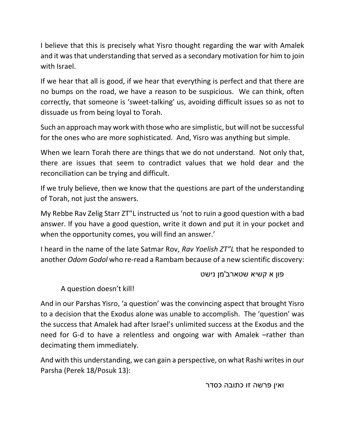I believe that this is precisely what Yisro thought regarding the war with Amalek and it was that understanding that served as a secondary motivation for him to join with Israel.

If we hear that all is good, if we hear that everything is perfect and that there are no bumps on the road, we have a reason to be suspicious. We can think, often correctly, that someone is 'sweet-talking' us, avoiding difficult issues so as not to dissuade us from being loyal to Torah.

Such an approach may work with those who are simplistic, but will not be successful for the ones who are more sophisticated. And, Yisro was anything but simple.

When we learn Torah there are things that we do not understand. Not only that, there are issues that seem to contradict values that we hold dear and the reconciliation can be trying and difficult.

If we truly believe, then we know that the questions are part of the understanding of Torah, not just the answers.

My Rebbe Rav Zelig Starr ZT"L instructed us 'not to ruin a good question with a bad answer. If you have a good question, write it down and put it in your pocket and when the opportunity comes, you will find an answer.'

I heard in the name of the late Satmar Rov, *Rav Yoelish ZT"L* that he responded to another *Odom Godol* who re-read a Rambam because of a new scientific discovery:

פון א קשיא שטארב'מן נישט

A question doesn't kill!

And in our Parshas Yisro, 'a question' was the convincing aspect that brought Yisro to a decision that the Exodus alone was unable to accomplish. The 'question' was the success that Amalek had after Israel's unlimited success at the Exodus and the need for G-d to have a relentless and ongoing war with Amalek –rather than decimating them immediately.

And with this understanding, we can gain a perspective, on what Rashi writes in our Parsha (Perek 18/Posuk 13):

ואין פרשה זו כתובה כסדר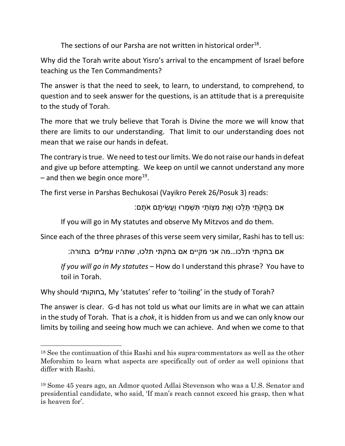The sections of our Parsha are not written in historical order<sup>18</sup>.

Why did the Torah write about Yisro's arrival to the encampment of Israel before teaching us the Ten Commandments?

The answer is that the need to seek, to learn, to understand, to comprehend, to question and to seek answer for the questions, is an attitude that is a prerequisite to the study of Torah.

The more that we truly believe that Torah is Divine the more we will know that there are limits to our understanding. That limit to our understanding does not mean that we raise our hands in defeat.

The contrary is true. We need to test our limits. We do not raise our hands in defeat and give up before attempting. We keep on until we cannot understand any more  $-$  and then we begin once more<sup>19</sup>.

The first verse in Parshas Bechukosai (Vayikro Perek 26/Posuk 3) reads:

ָּאִם בְּחֻקֹּתַי תֵּלֵכוּ וְאֶת מִצְוֹתַי תִּשְׁמְרוּ וַעֲשִׂיתֵם אֹתַם:

If you will go in My statutes and observe My Mitzvos and do them.

Since each of the three phrases of this verse seem very similar, Rashi has to tell us:

אם בחקתי תלכו...מה אני מקיים אם בחקתי תלכו, שתהיו עמלים בתורה:

*If you will go in My statutes* – How do I understand this phrase? You have to toil in Torah.

Why should בחוקותי, My 'statutes' refer to 'toiling' in the study of Torah?

 $\overline{a}$ 

The answer is clear. G-d has not told us what our limits are in what we can attain in the study of Torah. That is a *chok*, it is hidden from us and we can only know our limits by toiling and seeing how much we can achieve. And when we come to that

<sup>18</sup> See the continuation of this Rashi and his supra-commentators as well as the other Meforshim to learn what aspects are specifically out of order as well opinions that differ with Rashi.

<sup>19</sup> Some 45 years ago, an Admor quoted Adlai Stevenson who was a U.S. Senator and presidential candidate, who said, 'If man's reach cannot exceed his grasp, then what is heaven for'.